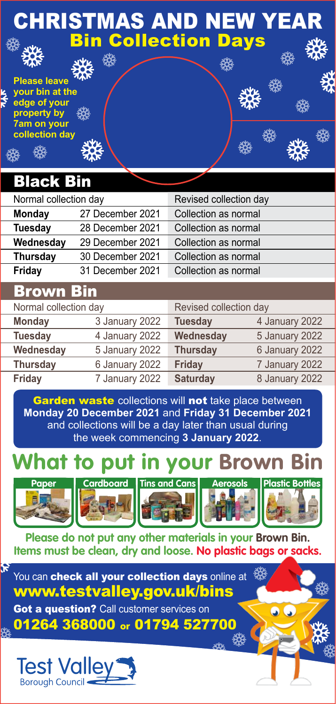### CHRISTMAS AND NEW YEAR Bin Collection Days

檾

燚

燚

檾

#### **Please leave your bin at the edge of your property by 7am on your collection day**

### Black Bin

| Normal collection day |                  | Revised collection day |  |  |
|-----------------------|------------------|------------------------|--|--|
| <b>Monday</b>         | 27 December 2021 | Collection as normal   |  |  |
| Tuesday               | 28 December 2021 | Collection as normal   |  |  |
| Wednesday             | 29 December 2021 | Collection as normal   |  |  |
| Thursday              | 30 December 2021 | Collection as normal   |  |  |
| Friday                | 31 December 2021 | Collection as normal   |  |  |
| ------                |                  |                        |  |  |

### <u>Brown Bi</u>

| Normal collection day |                | Revised collection day |                |
|-----------------------|----------------|------------------------|----------------|
| <b>Monday</b>         | 3 January 2022 | <b>Tuesday</b>         | 4 January 2022 |
| <b>Tuesday</b>        | 4 January 2022 | Wednesday              | 5 January 2022 |
| Wednesday             | 5 January 2022 | <b>Thursday</b>        | 6 January 2022 |
| <b>Thursday</b>       | 6 January 2022 | <b>Friday</b>          | 7 January 2022 |
| Friday                | 7 January 2022 | <b>Saturday</b>        | 8 January 2022 |
|                       |                |                        |                |

Garden waste collections will not take place between **Monday 20 December 2021** and **Friday 31 December 2021** and collections will be a day later than usual during the week commencing **3 January 2022**.

# **What to put in your Brown Bin**



R











**Please do not put any other materials in your Brown Bin. Items must be clean, dry and loose. No plastic bags or sacks.** 

You can check all vour collection days online at www.testvalley.gov.uk/bins

**Got a question?** Call customer services on

01264 368000 or 01794 527700